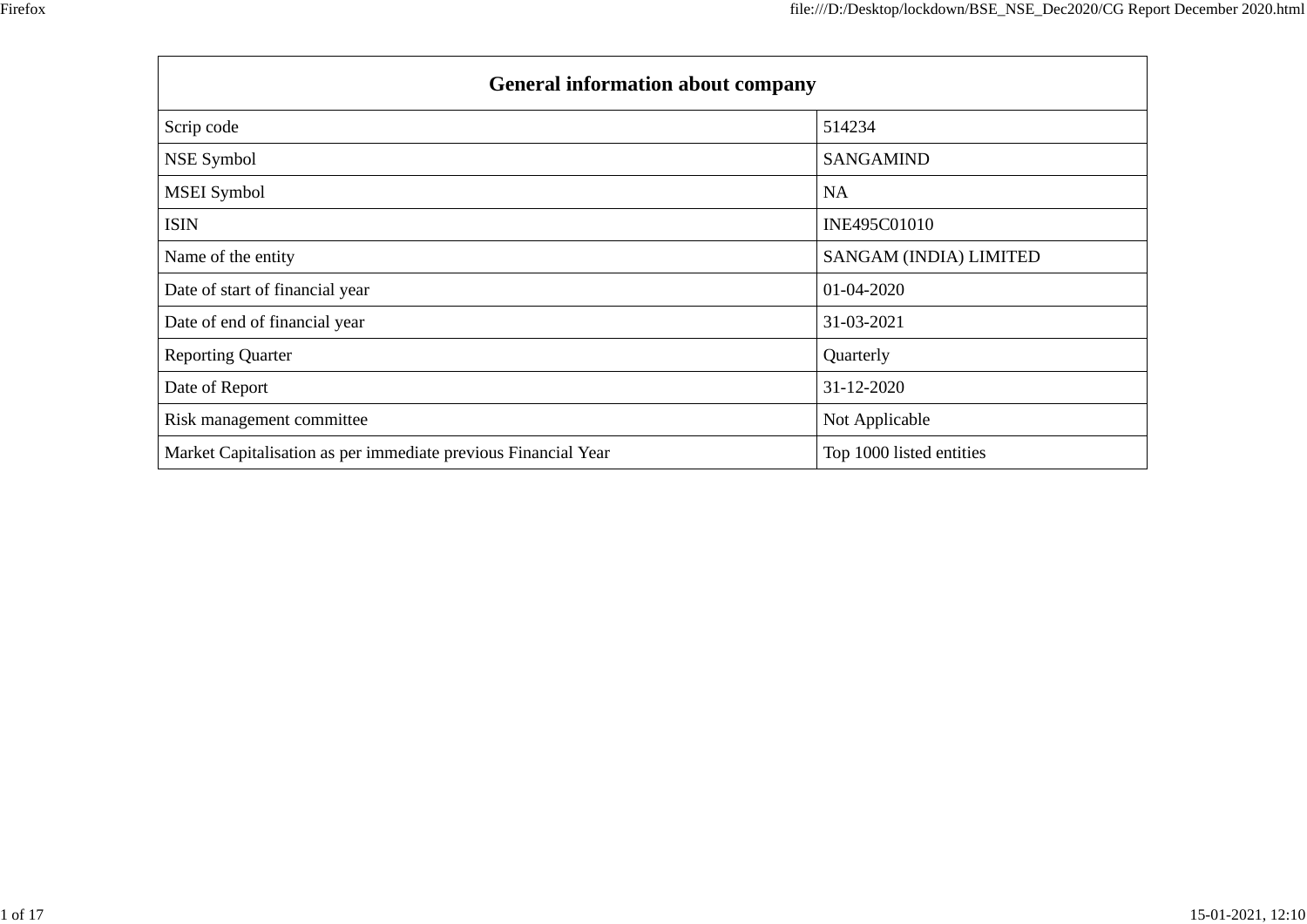| <b>General information about company</b>                       |                          |  |  |  |  |  |  |  |
|----------------------------------------------------------------|--------------------------|--|--|--|--|--|--|--|
| Scrip code                                                     | 514234                   |  |  |  |  |  |  |  |
| NSE Symbol                                                     | <b>SANGAMIND</b>         |  |  |  |  |  |  |  |
| <b>MSEI</b> Symbol                                             | <b>NA</b>                |  |  |  |  |  |  |  |
| <b>ISIN</b>                                                    | INE495C01010             |  |  |  |  |  |  |  |
| Name of the entity                                             | SANGAM (INDIA) LIMITED   |  |  |  |  |  |  |  |
| Date of start of financial year                                | 01-04-2020               |  |  |  |  |  |  |  |
| Date of end of financial year                                  | 31-03-2021               |  |  |  |  |  |  |  |
| <b>Reporting Quarter</b>                                       | Quarterly                |  |  |  |  |  |  |  |
| Date of Report                                                 | 31-12-2020               |  |  |  |  |  |  |  |
| Risk management committee                                      | Not Applicable           |  |  |  |  |  |  |  |
| Market Capitalisation as per immediate previous Financial Year | Top 1000 listed entities |  |  |  |  |  |  |  |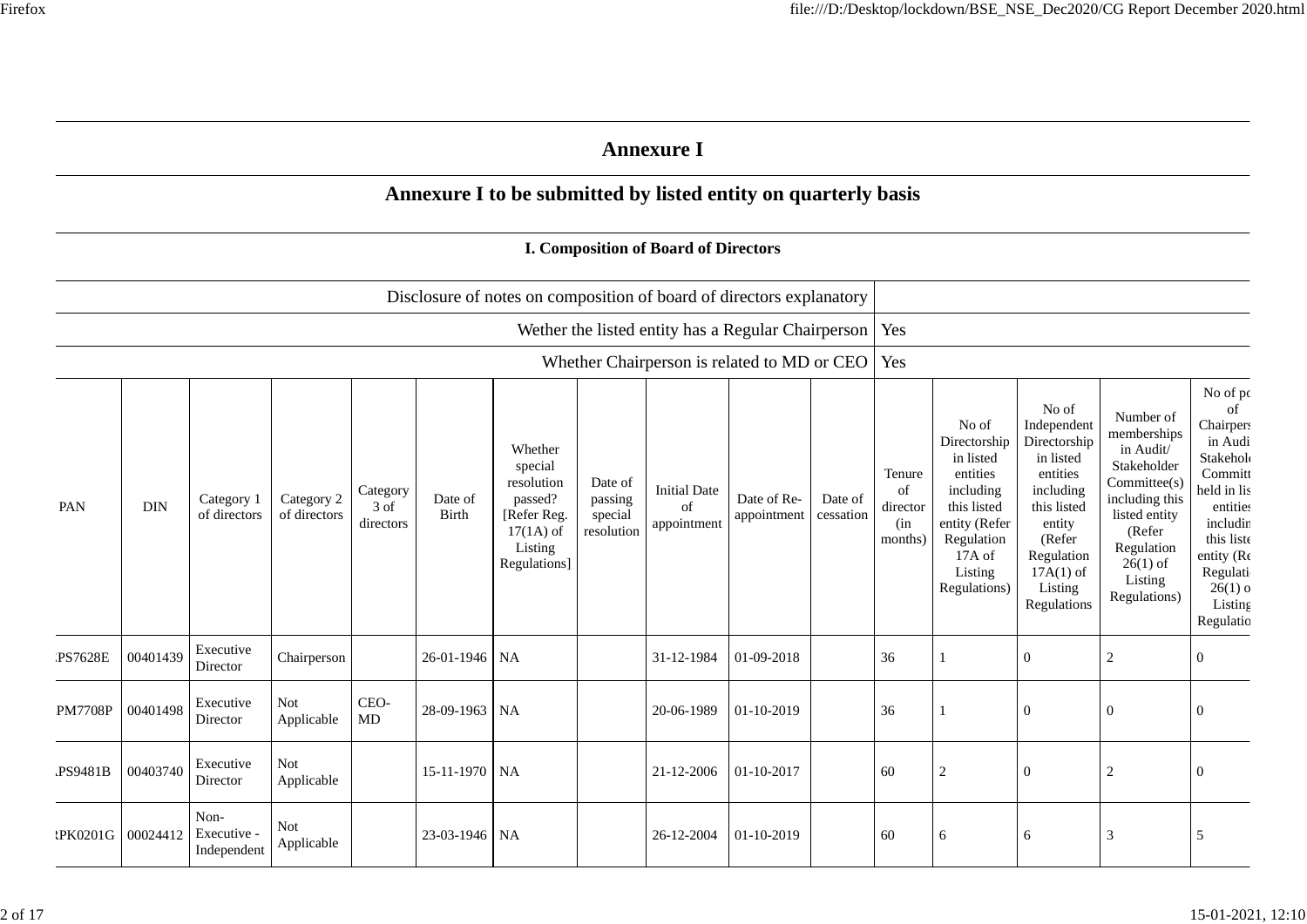|                |            |                                    |                            |                                          |                  |                                                                                                      |                                             | <b>Annexure I</b>                                  |                            |                      |                                            |                                                                                                                                                |                                                                                                                                                                      |                                                                                                                                                                          |                                                                                                                                                                                          |
|----------------|------------|------------------------------------|----------------------------|------------------------------------------|------------------|------------------------------------------------------------------------------------------------------|---------------------------------------------|----------------------------------------------------|----------------------------|----------------------|--------------------------------------------|------------------------------------------------------------------------------------------------------------------------------------------------|----------------------------------------------------------------------------------------------------------------------------------------------------------------------|--------------------------------------------------------------------------------------------------------------------------------------------------------------------------|------------------------------------------------------------------------------------------------------------------------------------------------------------------------------------------|
|                |            |                                    |                            |                                          |                  | Annexure I to be submitted by listed entity on quarterly basis                                       |                                             |                                                    |                            |                      |                                            |                                                                                                                                                |                                                                                                                                                                      |                                                                                                                                                                          |                                                                                                                                                                                          |
|                |            |                                    |                            |                                          |                  |                                                                                                      |                                             | <b>I. Composition of Board of Directors</b>        |                            |                      |                                            |                                                                                                                                                |                                                                                                                                                                      |                                                                                                                                                                          |                                                                                                                                                                                          |
|                |            |                                    |                            |                                          |                  | Disclosure of notes on composition of board of directors explanatory                                 |                                             |                                                    |                            |                      |                                            |                                                                                                                                                |                                                                                                                                                                      |                                                                                                                                                                          |                                                                                                                                                                                          |
|                |            |                                    |                            |                                          |                  |                                                                                                      |                                             | Wether the listed entity has a Regular Chairperson |                            |                      | Yes                                        |                                                                                                                                                |                                                                                                                                                                      |                                                                                                                                                                          |                                                                                                                                                                                          |
|                |            |                                    |                            |                                          |                  |                                                                                                      |                                             | Whether Chairperson is related to MD or CEO        |                            |                      | Yes                                        |                                                                                                                                                |                                                                                                                                                                      |                                                                                                                                                                          |                                                                                                                                                                                          |
| PAN            | <b>DIN</b> | Category 1<br>of directors         | Category 2<br>of directors | Category<br>$3 \mathrm{of}$<br>directors | Date of<br>Birth | Whether<br>special<br>resolution<br>passed?<br>[Refer Reg.<br>$17(1A)$ of<br>Listing<br>Regulations] | Date of<br>passing<br>special<br>resolution | <b>Initial Date</b><br>of<br>appointment           | Date of Re-<br>appointment | Date of<br>cessation | Tenure<br>of<br>director<br>(in<br>months) | No of<br>Directorship<br>in listed<br>entities<br>including<br>this listed<br>entity (Refer<br>Regulation<br>17A of<br>Listing<br>Regulations) | No of<br>Independent<br>Directorship<br>in listed<br>entities<br>including<br>this listed<br>entity<br>(Refer<br>Regulation<br>$17A(1)$ of<br>Listing<br>Regulations | Number of<br>memberships<br>in Audit/<br>Stakeholder<br>Committee(s)<br>including this<br>listed entity<br>(Refer<br>Regulation<br>$26(1)$ of<br>Listing<br>Regulations) | No of po<br>of<br><b>Chairpers</b><br>in Audi<br>Stakehol<br>Committ<br>held in lis<br>entities<br>includin<br>this liste<br>entity (Re<br>Regulati<br>$26(1)$ o<br>Listing<br>Regulatio |
| <b>PS7628E</b> | 00401439   | Executive<br>Director              | Chairperson                |                                          | 26-01-1946 NA    |                                                                                                      |                                             | 31-12-1984                                         | 01-09-2018                 |                      | 36                                         |                                                                                                                                                | $\Omega$                                                                                                                                                             | $\mathbf{2}$                                                                                                                                                             | $\overline{0}$                                                                                                                                                                           |
| <b>PM7708P</b> | 00401498   | Executive<br>Director              | <b>Not</b><br>Applicable   | CEO-<br>$\rm MD$                         | 28-09-1963 NA    |                                                                                                      |                                             | 20-06-1989                                         | 01-10-2019                 |                      | 36                                         |                                                                                                                                                | $\theta$                                                                                                                                                             | $\mathbf{0}$                                                                                                                                                             | $\Omega$                                                                                                                                                                                 |
| PS9481B        | 00403740   | Executive<br>Director              | <b>Not</b><br>Applicable   |                                          | 15-11-1970 NA    |                                                                                                      |                                             | 21-12-2006                                         | 01-10-2017                 |                      | 60                                         | $\sqrt{2}$                                                                                                                                     | $\Omega$                                                                                                                                                             | $\sqrt{2}$                                                                                                                                                               | $\Omega$                                                                                                                                                                                 |
| :PK0201G       | 00024412   | Non-<br>Executive -<br>Independent | Not<br>Applicable          |                                          | 23-03-1946 NA    |                                                                                                      |                                             | 26-12-2004                                         | 01-10-2019                 |                      | 60                                         | 6                                                                                                                                              | 6                                                                                                                                                                    | 3                                                                                                                                                                        | 5                                                                                                                                                                                        |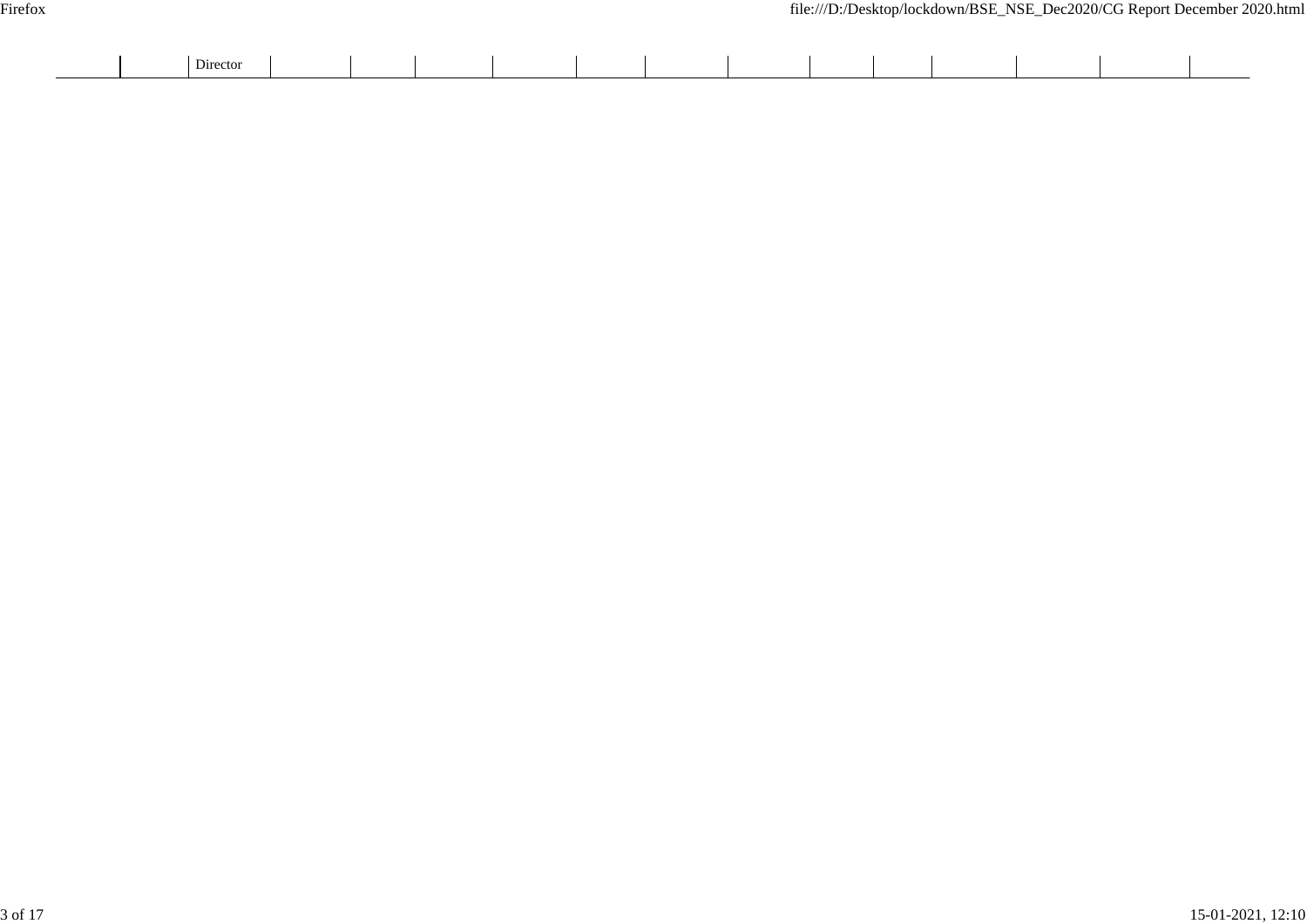|  | --<br>Director |  |  |  |  |  |  |  |
|--|----------------|--|--|--|--|--|--|--|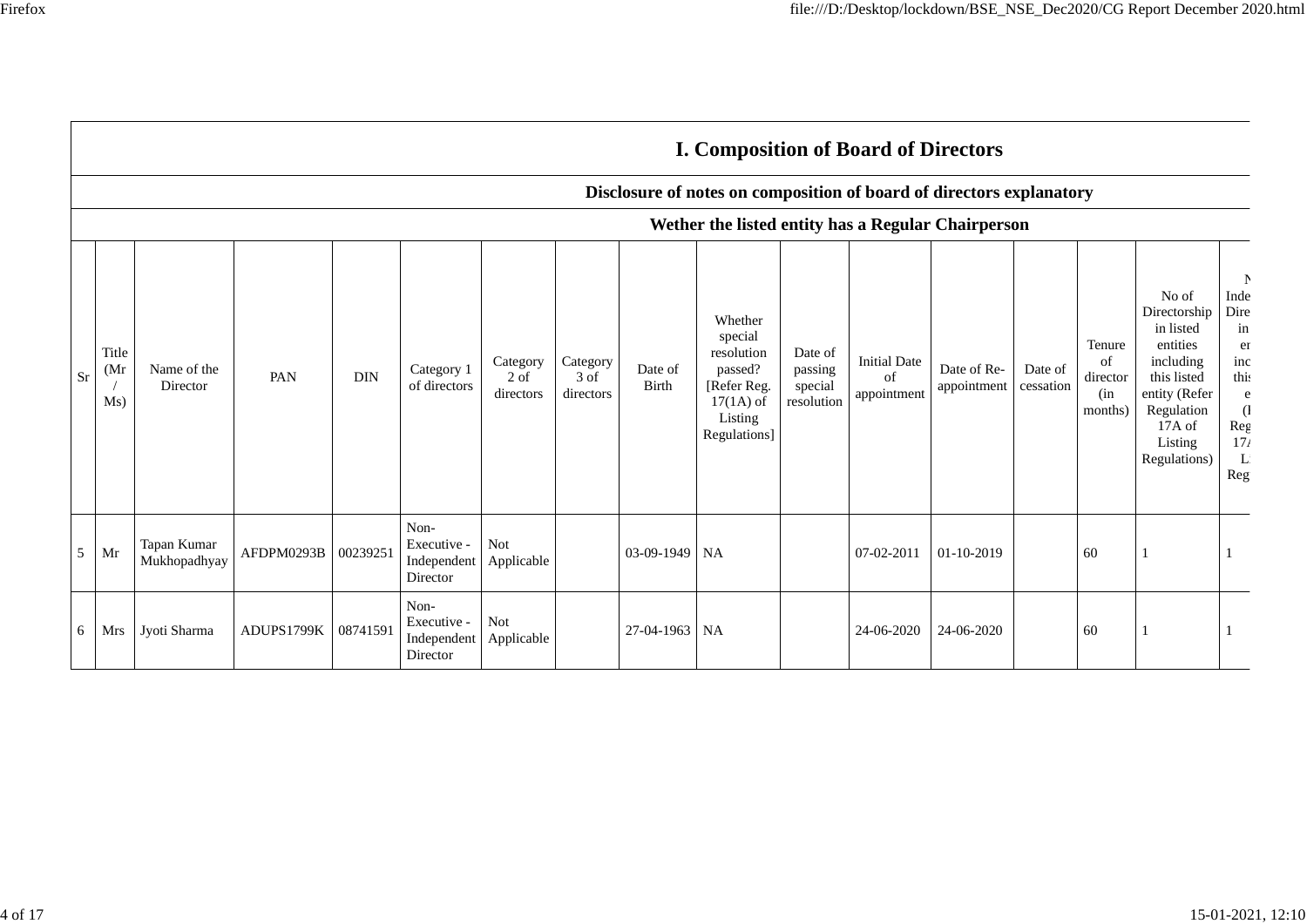|    |                      |                             |                     |            |                                                |                                 |                                 |                  | <b>I. Composition of Board of Directors</b>                                                          |                                             |                                          |                            |                      |                                            |                                                                                                                                                |                                                                                                |
|----|----------------------|-----------------------------|---------------------|------------|------------------------------------------------|---------------------------------|---------------------------------|------------------|------------------------------------------------------------------------------------------------------|---------------------------------------------|------------------------------------------|----------------------------|----------------------|--------------------------------------------|------------------------------------------------------------------------------------------------------------------------------------------------|------------------------------------------------------------------------------------------------|
|    |                      |                             |                     |            |                                                |                                 |                                 |                  | Disclosure of notes on composition of board of directors explanatory                                 |                                             |                                          |                            |                      |                                            |                                                                                                                                                |                                                                                                |
|    |                      |                             |                     |            |                                                |                                 |                                 |                  | Wether the listed entity has a Regular Chairperson                                                   |                                             |                                          |                            |                      |                                            |                                                                                                                                                |                                                                                                |
| Sr | Title<br>(Mr)<br>Ms) | Name of the<br>Director     | PAN                 | <b>DIN</b> | Category 1<br>of directors                     | Category<br>$2$ of<br>directors | Category<br>$3$ of<br>directors | Date of<br>Birth | Whether<br>special<br>resolution<br>passed?<br>[Refer Reg.<br>$17(1A)$ of<br>Listing<br>Regulations] | Date of<br>passing<br>special<br>resolution | <b>Initial Date</b><br>of<br>appointment | Date of Re-<br>appointment | Date of<br>cessation | Tenure<br>of<br>director<br>(in<br>months) | No of<br>Directorship<br>in listed<br>entities<br>including<br>this listed<br>entity (Refer<br>Regulation<br>17A of<br>Listing<br>Regulations) | N<br>Inde<br>Dire<br>in<br>er<br>inc<br>this<br>e<br>$\left($<br>Reg<br>17 <sub>t</sub><br>Reg |
| 5  | Mr                   | Tapan Kumar<br>Mukhopadhyay | AFDPM0293B 00239251 |            | Non-<br>Executive -<br>Independent<br>Director | Not<br>Applicable               |                                 | $03-09-1949$ NA  |                                                                                                      |                                             | 07-02-2011                               | 01-10-2019                 |                      | 60                                         |                                                                                                                                                |                                                                                                |
| 6  | Mrs                  | Jyoti Sharma                | ADUPS1799K          | 08741591   | Non-<br>Executive -<br>Independent<br>Director | Not<br>Applicable               |                                 | 27-04-1963 NA    |                                                                                                      |                                             | 24-06-2020                               | 24-06-2020                 |                      | 60                                         |                                                                                                                                                |                                                                                                |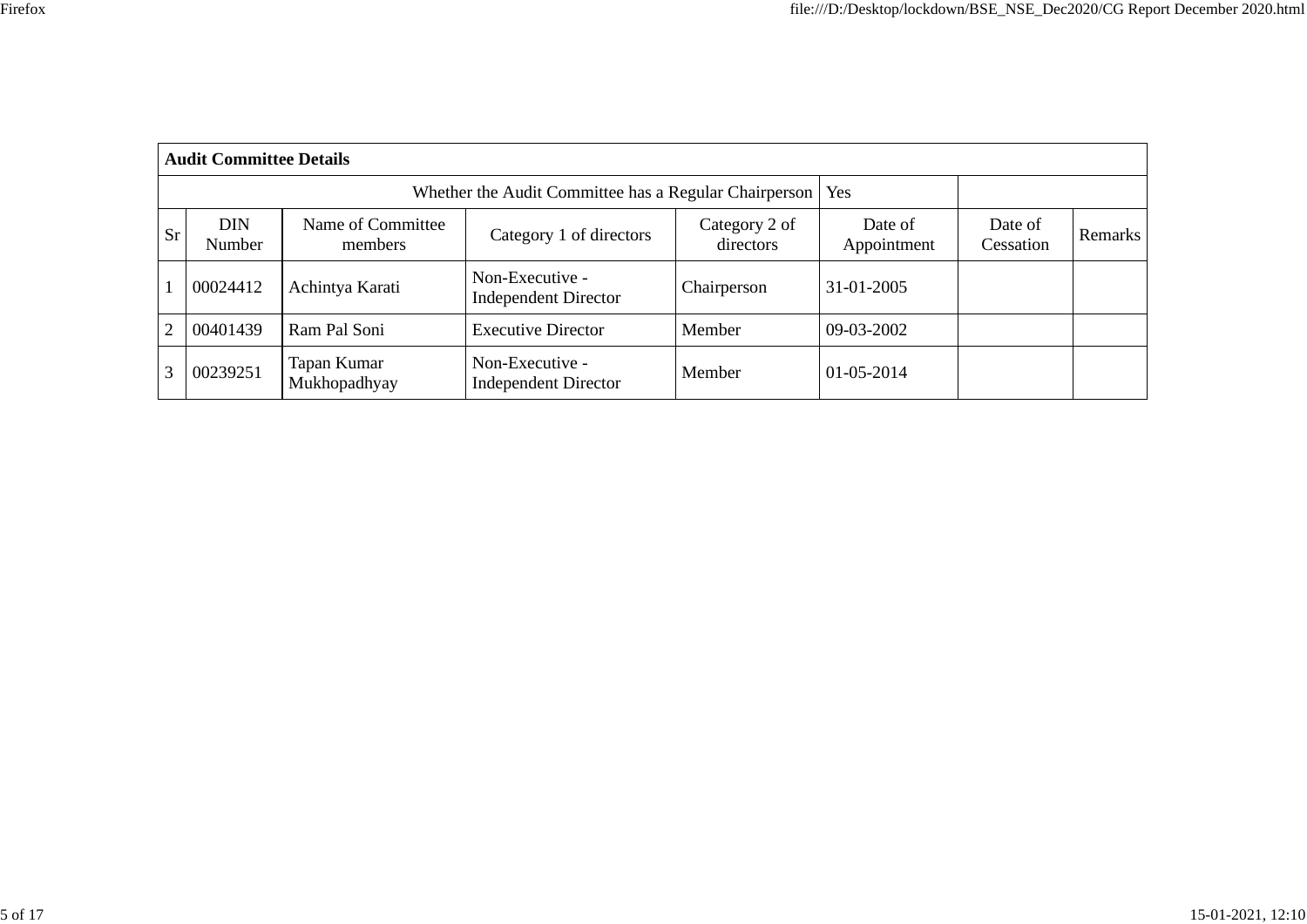|                | <b>Audit Committee Details</b> |                              |                                                       |                            |                        |                      |                |  |  |  |  |  |  |
|----------------|--------------------------------|------------------------------|-------------------------------------------------------|----------------------------|------------------------|----------------------|----------------|--|--|--|--|--|--|
|                |                                |                              | Whether the Audit Committee has a Regular Chairperson | Yes                        |                        |                      |                |  |  |  |  |  |  |
| <b>Sr</b>      | <b>DIN</b><br>Number           | Name of Committee<br>members | Category 1 of directors                               | Category 2 of<br>directors | Date of<br>Appointment | Date of<br>Cessation | <b>Remarks</b> |  |  |  |  |  |  |
|                | 00024412                       | Achintya Karati              | Non-Executive -<br><b>Independent Director</b>        | Chairperson                | 31-01-2005             |                      |                |  |  |  |  |  |  |
| $\overline{2}$ | 00401439                       | Ram Pal Soni                 | <b>Executive Director</b>                             | Member                     | 09-03-2002             |                      |                |  |  |  |  |  |  |
| 3              | 00239251                       | Tapan Kumar<br>Mukhopadhyay  | Non-Executive -<br><b>Independent Director</b>        | Member                     | 01-05-2014             |                      |                |  |  |  |  |  |  |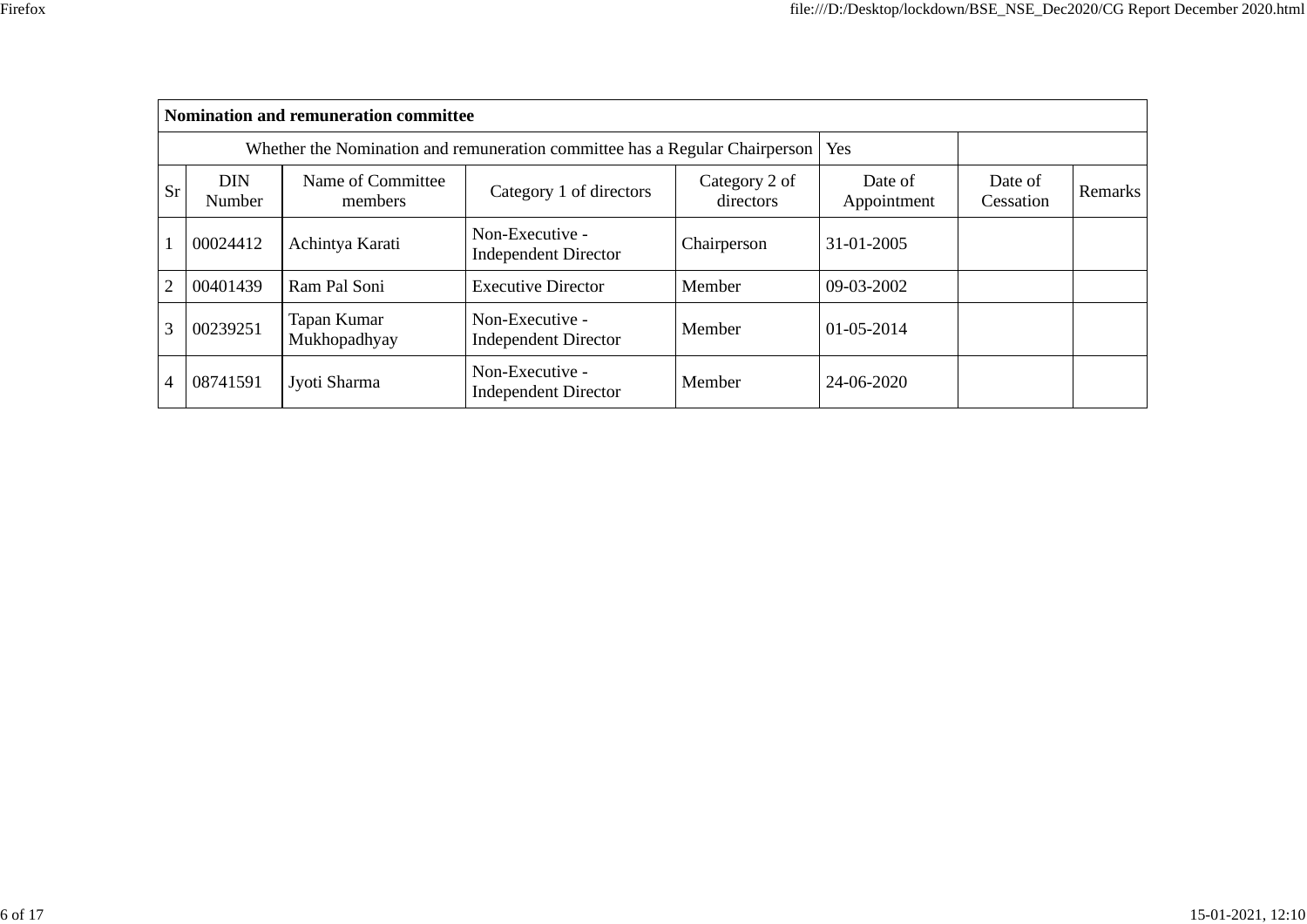|           | <b>Nomination and remuneration committee</b> |                                                                             |                                                |                            |                        |                      |         |  |  |  |  |  |
|-----------|----------------------------------------------|-----------------------------------------------------------------------------|------------------------------------------------|----------------------------|------------------------|----------------------|---------|--|--|--|--|--|
|           |                                              | Whether the Nomination and remuneration committee has a Regular Chairperson |                                                | <b>Yes</b>                 |                        |                      |         |  |  |  |  |  |
| <b>Sr</b> | <b>DIN</b><br>Number                         | Name of Committee<br>members                                                | Category 1 of directors                        | Category 2 of<br>directors | Date of<br>Appointment | Date of<br>Cessation | Remarks |  |  |  |  |  |
|           | 00024412                                     | Achintya Karati                                                             | Non-Executive -<br><b>Independent Director</b> | Chairperson                | 31-01-2005             |                      |         |  |  |  |  |  |
| 2         | 00401439                                     | Ram Pal Soni                                                                | <b>Executive Director</b>                      | Member                     | 09-03-2002             |                      |         |  |  |  |  |  |
| 3         | 00239251                                     | Tapan Kumar<br>Mukhopadhyay                                                 | Non-Executive -<br><b>Independent Director</b> | Member                     | 01-05-2014             |                      |         |  |  |  |  |  |
| 4         | 08741591                                     | Jyoti Sharma                                                                | Non-Executive -<br><b>Independent Director</b> | Member                     | 24-06-2020             |                      |         |  |  |  |  |  |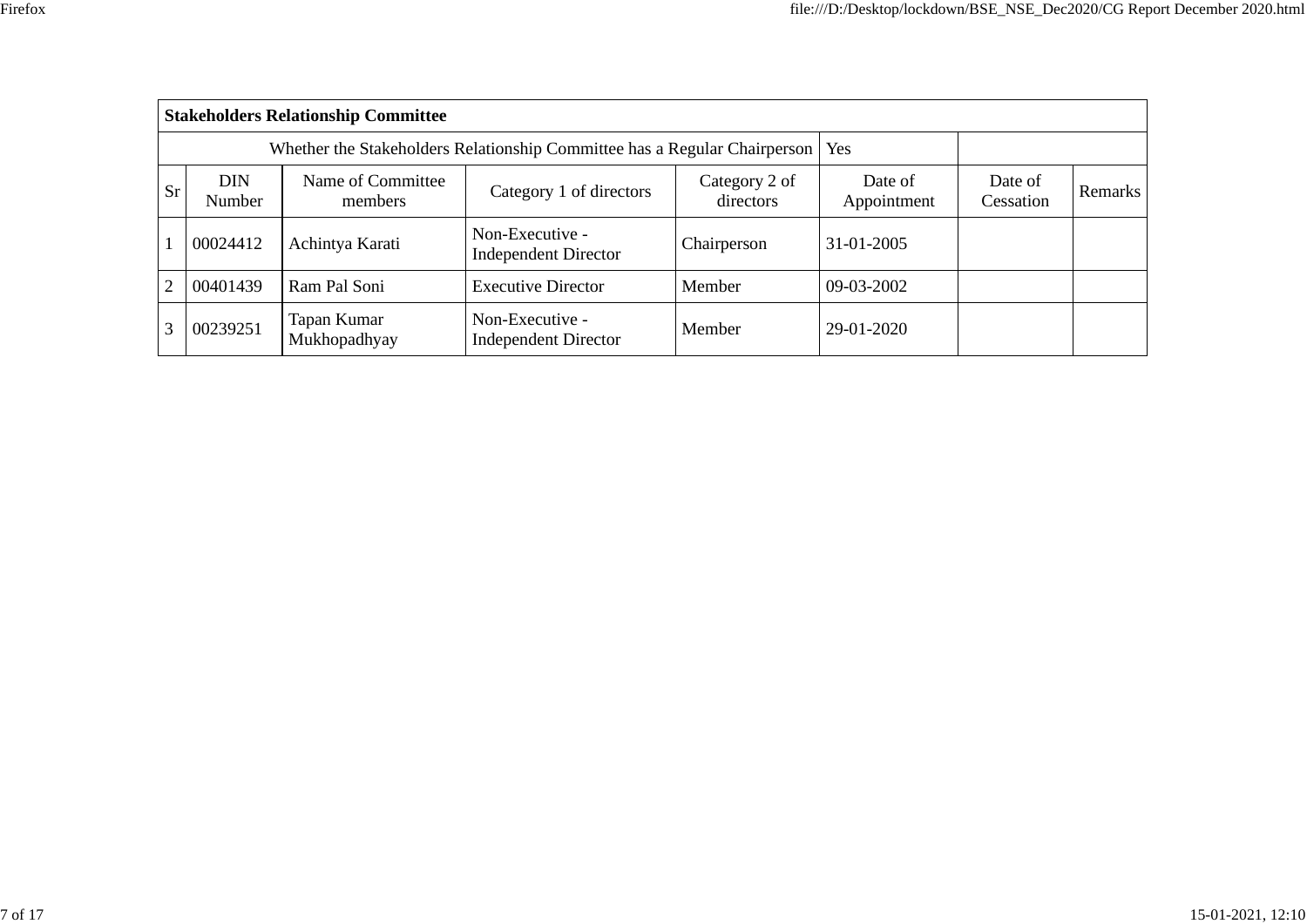|           | <b>Stakeholders Relationship Committee</b> |                                                                                 |                                                |                            |                        |                      |                |  |  |  |  |  |  |
|-----------|--------------------------------------------|---------------------------------------------------------------------------------|------------------------------------------------|----------------------------|------------------------|----------------------|----------------|--|--|--|--|--|--|
|           |                                            | Whether the Stakeholders Relationship Committee has a Regular Chairperson   Yes |                                                |                            |                        |                      |                |  |  |  |  |  |  |
| <b>Sr</b> | <b>DIN</b><br>Number                       | Name of Committee<br>members                                                    | Category 1 of directors                        | Category 2 of<br>directors | Date of<br>Appointment | Date of<br>Cessation | <b>Remarks</b> |  |  |  |  |  |  |
|           | 00024412                                   | Achintya Karati                                                                 | Non-Executive -<br><b>Independent Director</b> | Chairperson                | 31-01-2005             |                      |                |  |  |  |  |  |  |
| 2         | 00401439                                   | Ram Pal Soni                                                                    | <b>Executive Director</b>                      | Member                     | 09-03-2002             |                      |                |  |  |  |  |  |  |
| 3         | 00239251                                   | Tapan Kumar<br>Mukhopadhyay                                                     | Non-Executive -<br><b>Independent Director</b> | Member                     | 29-01-2020             |                      |                |  |  |  |  |  |  |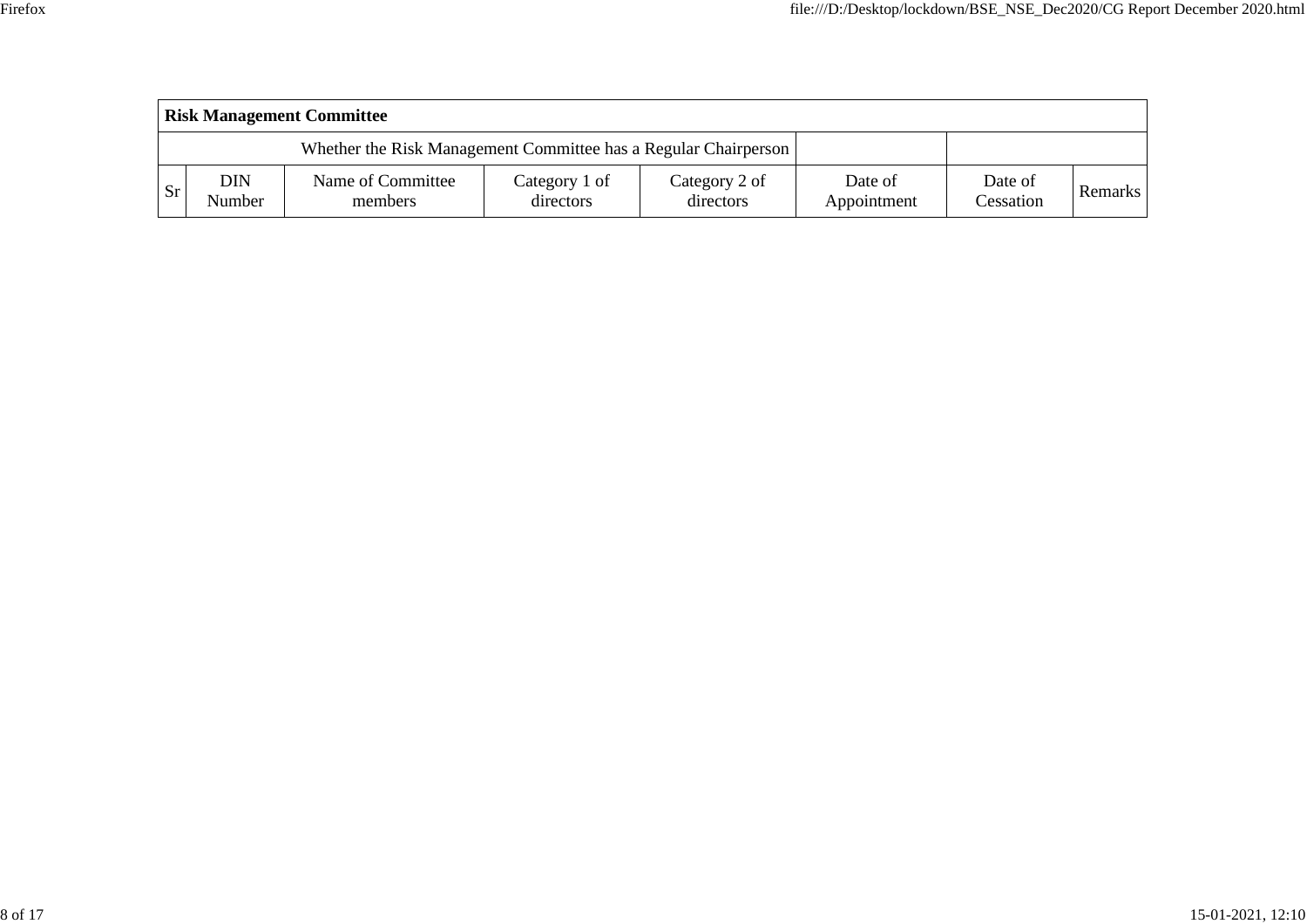|               | <b>Risk Management Committee</b> |                                                                 |                            |                            |                        |                      |                |  |  |  |  |  |  |
|---------------|----------------------------------|-----------------------------------------------------------------|----------------------------|----------------------------|------------------------|----------------------|----------------|--|--|--|--|--|--|
|               |                                  | Whether the Risk Management Committee has a Regular Chairperson |                            |                            |                        |                      |                |  |  |  |  |  |  |
| <sub>Sr</sub> | DIN<br>Number                    | Name of Committee<br>members                                    | Category 1 of<br>directors | Category 2 of<br>directors | Date of<br>Appointment | Date of<br>Cessation | <b>Remarks</b> |  |  |  |  |  |  |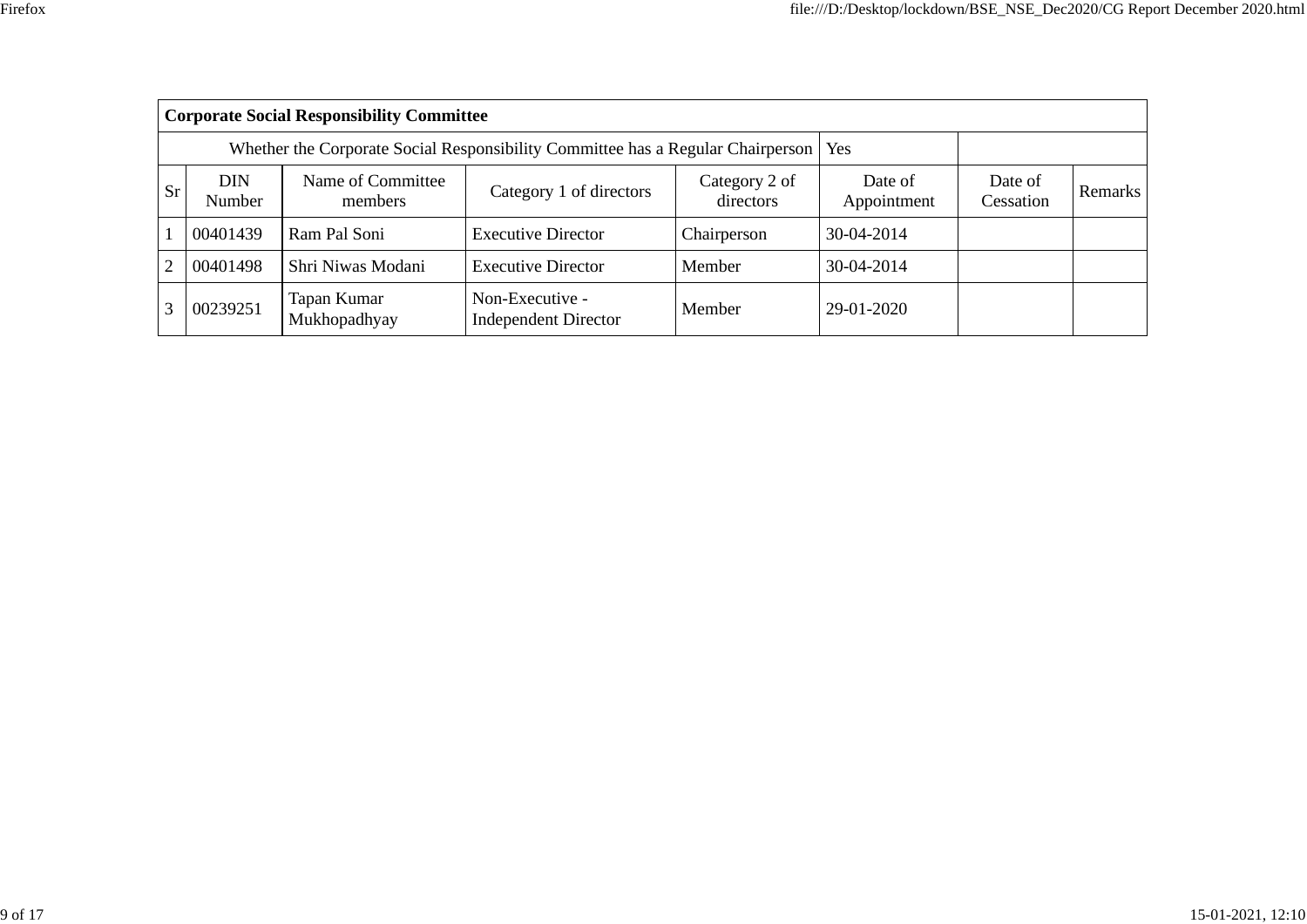|                | <b>Corporate Social Responsibility Committee</b> |                                                                                 |                                                |                            |                        |                      |         |  |  |  |  |  |  |
|----------------|--------------------------------------------------|---------------------------------------------------------------------------------|------------------------------------------------|----------------------------|------------------------|----------------------|---------|--|--|--|--|--|--|
|                |                                                  | Whether the Corporate Social Responsibility Committee has a Regular Chairperson |                                                | Yes                        |                        |                      |         |  |  |  |  |  |  |
| <b>Sr</b>      | DIN<br>Number                                    | Name of Committee<br>members                                                    | Category 1 of directors                        | Category 2 of<br>directors | Date of<br>Appointment | Date of<br>Cessation | Remarks |  |  |  |  |  |  |
|                | 00401439                                         | Ram Pal Soni                                                                    | <b>Executive Director</b>                      | Chairperson                | 30-04-2014             |                      |         |  |  |  |  |  |  |
| $\overline{2}$ | 00401498                                         | Shri Niwas Modani                                                               | <b>Executive Director</b>                      | Member                     | 30-04-2014             |                      |         |  |  |  |  |  |  |
|                | 00239251                                         | Tapan Kumar<br>Mukhopadhyay                                                     | Non-Executive -<br><b>Independent Director</b> | Member                     | 29-01-2020             |                      |         |  |  |  |  |  |  |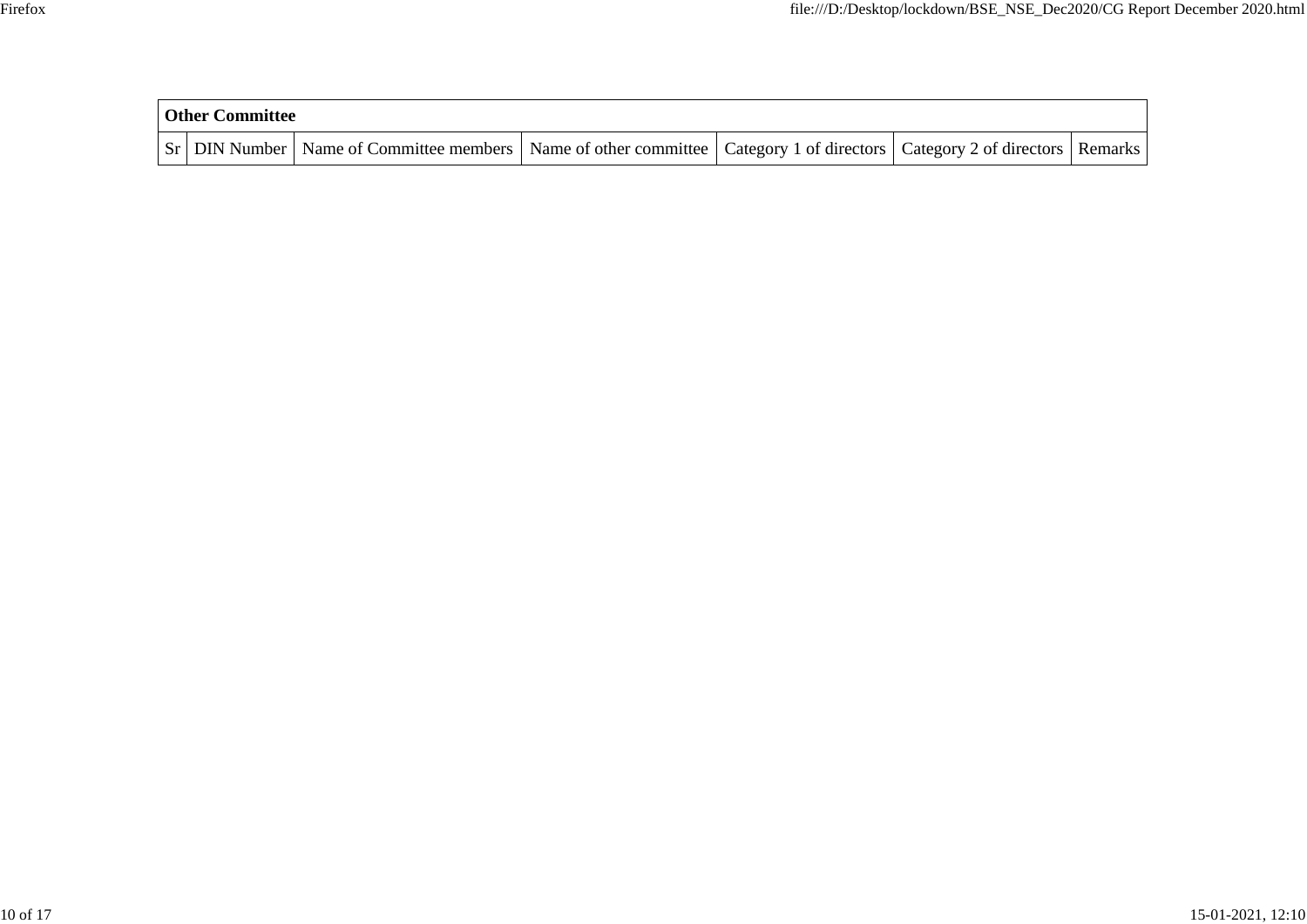| <b>Other Committee</b> |                                                    |                                                                         |  |         |
|------------------------|----------------------------------------------------|-------------------------------------------------------------------------|--|---------|
|                        | <b>Sr</b>   DIN Number   Name of Committee members | Name of other committee Category 1 of directors Category 2 of directors |  | Remarks |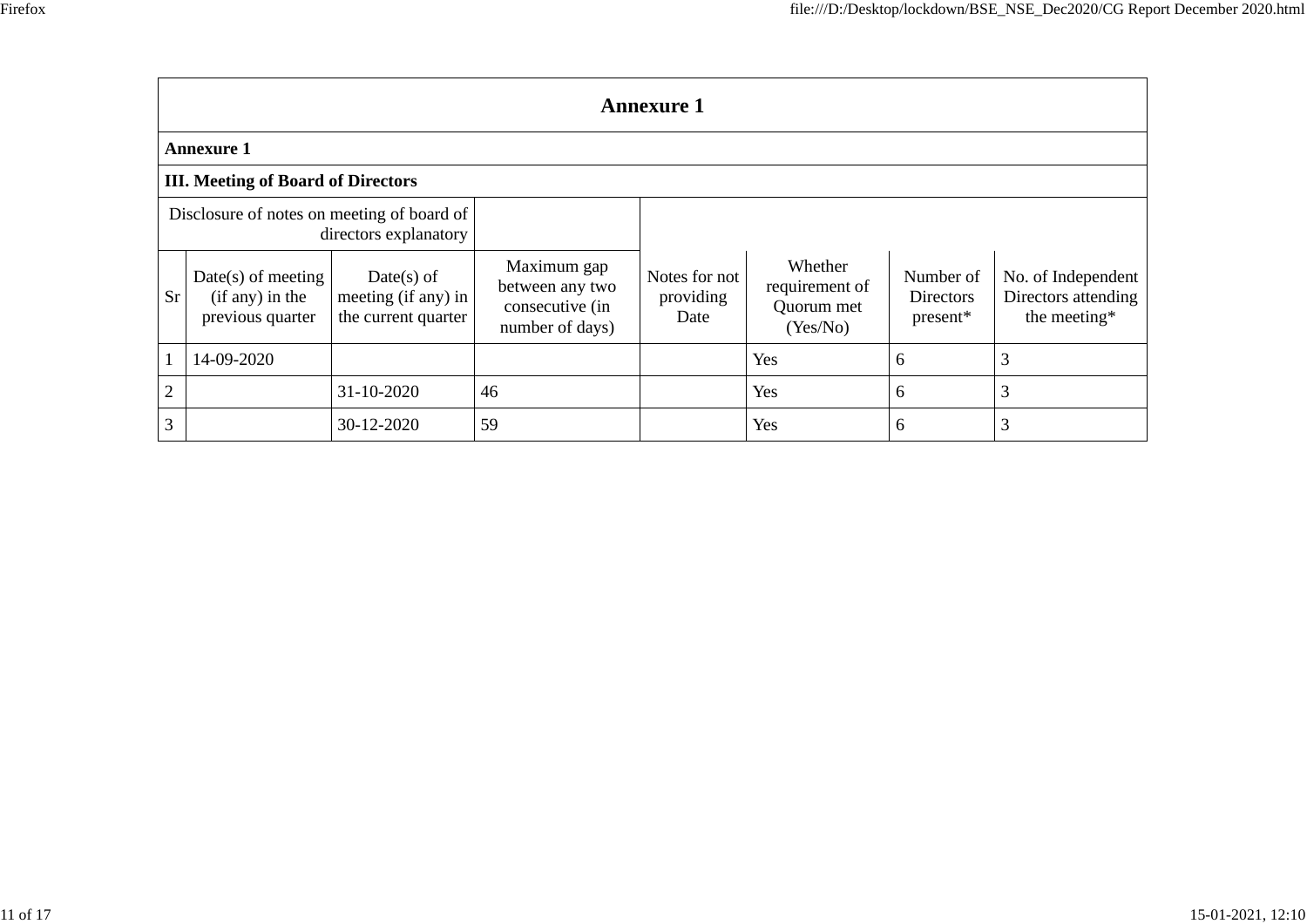|                                                                     | <b>Annexure 1</b>                                           |                                                            |                                                                      |                                    |                                                     |                                    |                                                           |  |  |  |  |  |  |
|---------------------------------------------------------------------|-------------------------------------------------------------|------------------------------------------------------------|----------------------------------------------------------------------|------------------------------------|-----------------------------------------------------|------------------------------------|-----------------------------------------------------------|--|--|--|--|--|--|
|                                                                     | Annexure 1                                                  |                                                            |                                                                      |                                    |                                                     |                                    |                                                           |  |  |  |  |  |  |
|                                                                     | <b>III. Meeting of Board of Directors</b>                   |                                                            |                                                                      |                                    |                                                     |                                    |                                                           |  |  |  |  |  |  |
| Disclosure of notes on meeting of board of<br>directors explanatory |                                                             |                                                            |                                                                      |                                    |                                                     |                                    |                                                           |  |  |  |  |  |  |
| <b>Sr</b>                                                           | $Date(s)$ of meeting<br>(if any) in the<br>previous quarter | $Date(s)$ of<br>meeting (if any) in<br>the current quarter | Maximum gap<br>between any two<br>consecutive (in<br>number of days) | Notes for not<br>providing<br>Date | Whether<br>requirement of<br>Quorum met<br>(Yes/No) | Number of<br>Directors<br>present* | No. of Independent<br>Directors attending<br>the meeting* |  |  |  |  |  |  |
|                                                                     | 14-09-2020                                                  |                                                            |                                                                      |                                    | Yes                                                 | 6                                  | 3                                                         |  |  |  |  |  |  |
| $\sqrt{2}$                                                          |                                                             | 31-10-2020                                                 | 46                                                                   |                                    | Yes                                                 | 6                                  | 3                                                         |  |  |  |  |  |  |
| 3                                                                   |                                                             | 30-12-2020                                                 | 59                                                                   |                                    | Yes                                                 | 6                                  | 3                                                         |  |  |  |  |  |  |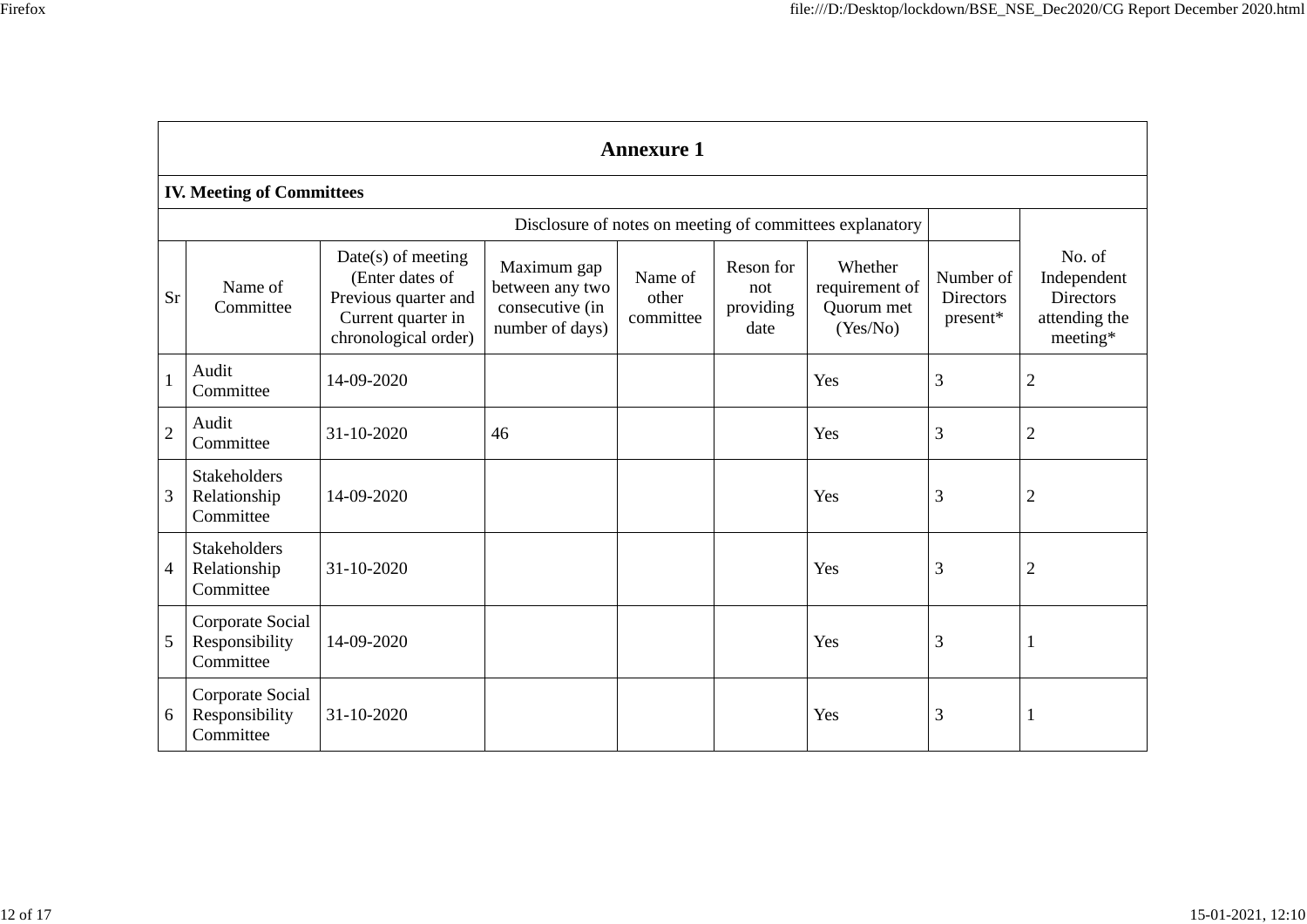|                |                                                  |                                                                                                               |                                                                      | <b>Annexure 1</b>             |                                       |                                                     |                                           |                                                                        |  |  |  |  |  |  |  |
|----------------|--------------------------------------------------|---------------------------------------------------------------------------------------------------------------|----------------------------------------------------------------------|-------------------------------|---------------------------------------|-----------------------------------------------------|-------------------------------------------|------------------------------------------------------------------------|--|--|--|--|--|--|--|
|                | <b>IV. Meeting of Committees</b>                 |                                                                                                               |                                                                      |                               |                                       |                                                     |                                           |                                                                        |  |  |  |  |  |  |  |
|                |                                                  | Disclosure of notes on meeting of committees explanatory                                                      |                                                                      |                               |                                       |                                                     |                                           |                                                                        |  |  |  |  |  |  |  |
| Sr             | Name of<br>Committee                             | $Date(s)$ of meeting<br>(Enter dates of<br>Previous quarter and<br>Current quarter in<br>chronological order) | Maximum gap<br>between any two<br>consecutive (in<br>number of days) | Name of<br>other<br>committee | Reson for<br>not<br>providing<br>date | Whether<br>requirement of<br>Quorum met<br>(Yes/No) | Number of<br><b>Directors</b><br>present* | No. of<br>Independent<br><b>Directors</b><br>attending the<br>meeting* |  |  |  |  |  |  |  |
| 1              | Audit<br>Committee                               | 14-09-2020                                                                                                    |                                                                      |                               |                                       | Yes                                                 | 3                                         | $\overline{2}$                                                         |  |  |  |  |  |  |  |
| $\overline{2}$ | Audit<br>Committee                               | 31-10-2020                                                                                                    | 46                                                                   |                               |                                       | Yes                                                 | 3                                         | $\overline{2}$                                                         |  |  |  |  |  |  |  |
| 3              | <b>Stakeholders</b><br>Relationship<br>Committee | 14-09-2020                                                                                                    |                                                                      |                               |                                       | Yes                                                 | 3                                         | $\overline{2}$                                                         |  |  |  |  |  |  |  |
| $\overline{4}$ | <b>Stakeholders</b><br>Relationship<br>Committee | 31-10-2020                                                                                                    |                                                                      |                               |                                       | Yes                                                 | 3                                         | $\overline{2}$                                                         |  |  |  |  |  |  |  |
| 5              | Corporate Social<br>Responsibility<br>Committee  | 14-09-2020                                                                                                    |                                                                      |                               |                                       | Yes                                                 | 3                                         | 1                                                                      |  |  |  |  |  |  |  |
| 6              | Corporate Social<br>Responsibility<br>Committee  | 31-10-2020                                                                                                    |                                                                      |                               |                                       | Yes                                                 | 3                                         |                                                                        |  |  |  |  |  |  |  |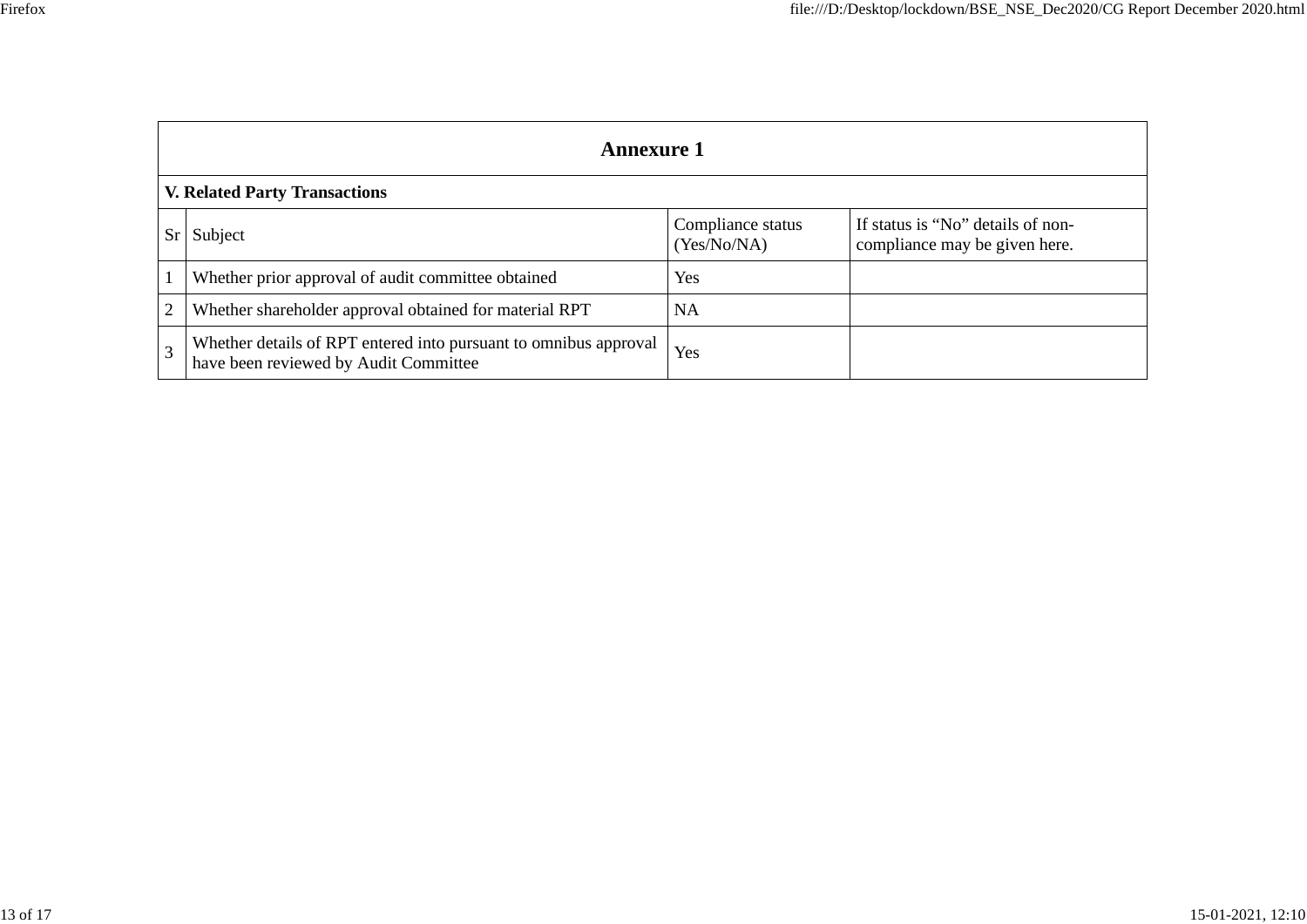|                |                                                        | <b>Annexure 1</b>                |                                                                    |
|----------------|--------------------------------------------------------|----------------------------------|--------------------------------------------------------------------|
|                | <b>V. Related Party Transactions</b>                   |                                  |                                                                    |
| Sr             | Subject                                                | Compliance status<br>(Yes/No/NA) | If status is "No" details of non-<br>compliance may be given here. |
|                | Whether prior approval of audit committee obtained     | Yes                              |                                                                    |
| $\overline{2}$ | Whether shareholder approval obtained for material RPT | <b>NA</b>                        |                                                                    |
|                |                                                        |                                  |                                                                    |

3 Whether details of RPT entered into pursuant to omnibus approval responsible xes have been reviewed by Audit Committee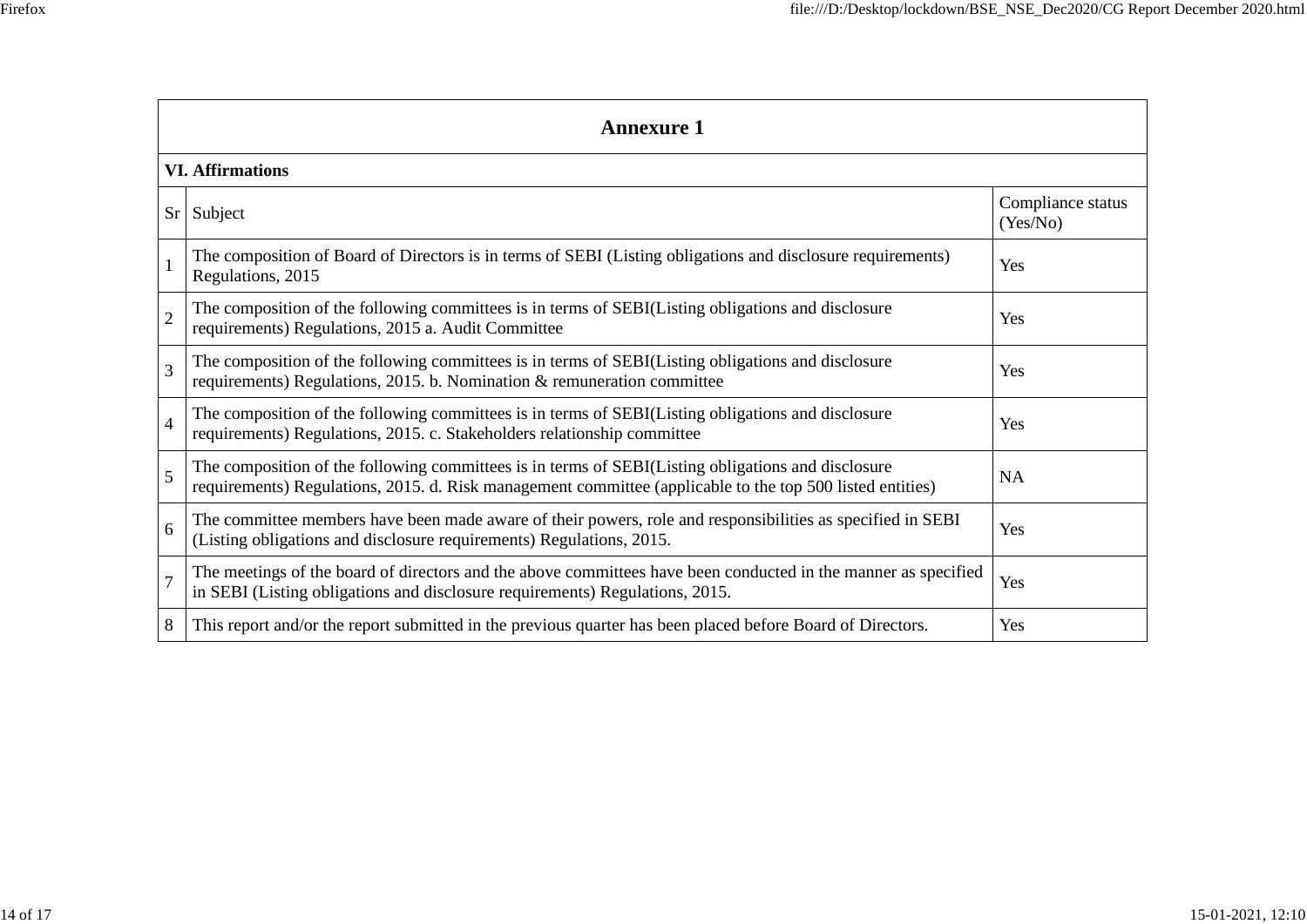|                         | <b>Annexure 1</b>                                                                                                                                                                                               |                               |  |  |  |  |
|-------------------------|-----------------------------------------------------------------------------------------------------------------------------------------------------------------------------------------------------------------|-------------------------------|--|--|--|--|
| <b>VI. Affirmations</b> |                                                                                                                                                                                                                 |                               |  |  |  |  |
|                         | $Sr$ Subject                                                                                                                                                                                                    | Compliance status<br>(Yes/No) |  |  |  |  |
|                         | The composition of Board of Directors is in terms of SEBI (Listing obligations and disclosure requirements)<br>Regulations, 2015                                                                                | Yes                           |  |  |  |  |
| $\overline{2}$          | The composition of the following committees is in terms of SEBI(Listing obligations and disclosure<br>requirements) Regulations, 2015 a. Audit Committee                                                        | Yes                           |  |  |  |  |
| 3                       | The composition of the following committees is in terms of SEBI(Listing obligations and disclosure<br>requirements) Regulations, 2015. b. Nomination & remuneration committee                                   | Yes                           |  |  |  |  |
| $\overline{4}$          | The composition of the following committees is in terms of SEBI(Listing obligations and disclosure<br>requirements) Regulations, 2015. c. Stakeholders relationship committee                                   | Yes                           |  |  |  |  |
| 5                       | The composition of the following committees is in terms of SEBI(Listing obligations and disclosure<br>requirements) Regulations, 2015. d. Risk management committee (applicable to the top 500 listed entities) | <b>NA</b>                     |  |  |  |  |
| 6                       | The committee members have been made aware of their powers, role and responsibilities as specified in SEBI<br>(Listing obligations and disclosure requirements) Regulations, 2015.                              | Yes                           |  |  |  |  |
| $\overline{7}$          | The meetings of the board of directors and the above committees have been conducted in the manner as specified<br>in SEBI (Listing obligations and disclosure requirements) Regulations, 2015.                  | Yes                           |  |  |  |  |
| 8                       | This report and/or the report submitted in the previous quarter has been placed before Board of Directors.                                                                                                      | Yes                           |  |  |  |  |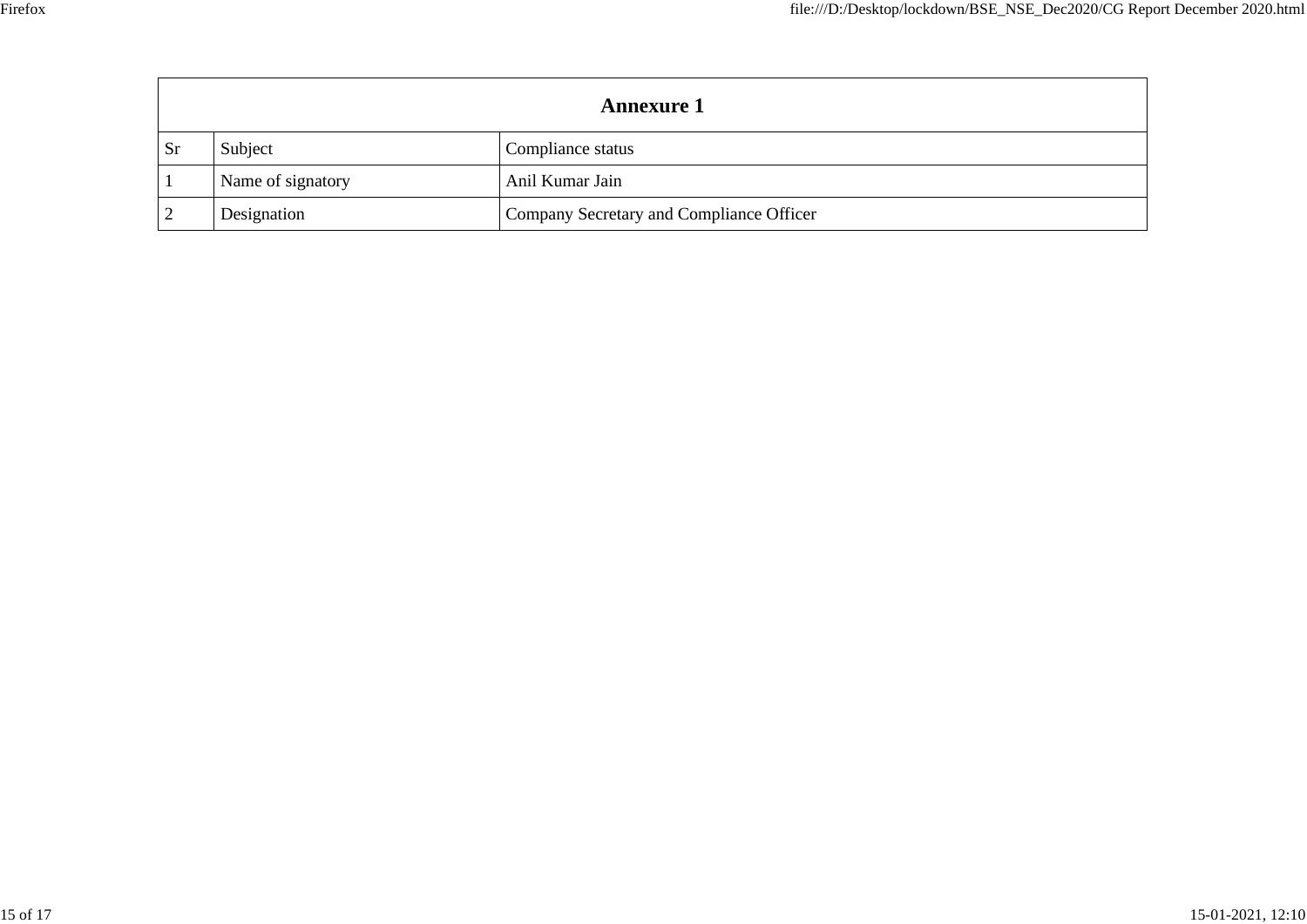| <b>Annexure 1</b> |                   |                                          |  |  |
|-------------------|-------------------|------------------------------------------|--|--|
| <b>Sr</b>         | Subject           | Compliance status                        |  |  |
|                   | Name of signatory | Anil Kumar Jain                          |  |  |
|                   | Designation       | Company Secretary and Compliance Officer |  |  |